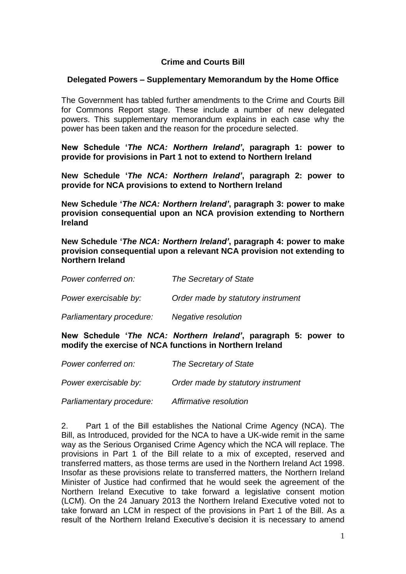## **Crime and Courts Bill**

## **Delegated Powers – Supplementary Memorandum by the Home Office**

The Government has tabled further amendments to the Crime and Courts Bill for Commons Report stage. These include a number of new delegated powers. This supplementary memorandum explains in each case why the power has been taken and the reason for the procedure selected.

**New Schedule '***The NCA: Northern Ireland'***, paragraph 1: power to provide for provisions in Part 1 not to extend to Northern Ireland**

**New Schedule '***The NCA: Northern Ireland'***, paragraph 2: power to provide for NCA provisions to extend to Northern Ireland**

**New Schedule '***The NCA: Northern Ireland'***, paragraph 3: power to make provision consequential upon an NCA provision extending to Northern Ireland**

**New Schedule '***The NCA: Northern Ireland'***, paragraph 4: power to make provision consequential upon a relevant NCA provision not extending to Northern Ireland**

| Power conferred on:      | The Secretary of State             |
|--------------------------|------------------------------------|
| Power exercisable by:    | Order made by statutory instrument |
| Parliamentary procedure: | Negative resolution                |

**New Schedule '***The NCA: Northern Ireland'***, paragraph 5: power to modify the exercise of NCA functions in Northern Ireland**

| Power conferred on:      | The Secretary of State             |
|--------------------------|------------------------------------|
| Power exercisable by:    | Order made by statutory instrument |
| Parliamentary procedure: | Affirmative resolution             |

2. Part 1 of the Bill establishes the National Crime Agency (NCA). The Bill, as Introduced, provided for the NCA to have a UK-wide remit in the same way as the Serious Organised Crime Agency which the NCA will replace. The provisions in Part 1 of the Bill relate to a mix of excepted, reserved and transferred matters, as those terms are used in the Northern Ireland Act 1998. Insofar as these provisions relate to transferred matters, the Northern Ireland Minister of Justice had confirmed that he would seek the agreement of the Northern Ireland Executive to take forward a legislative consent motion (LCM). On the 24 January 2013 the Northern Ireland Executive voted not to take forward an LCM in respect of the provisions in Part 1 of the Bill. As a result of the Northern Ireland Executive's decision it is necessary to amend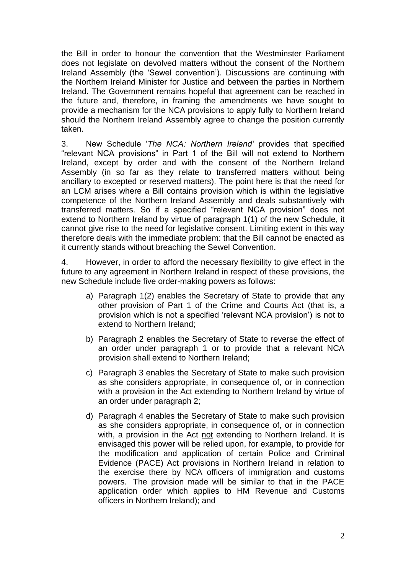the Bill in order to honour the convention that the Westminster Parliament does not legislate on devolved matters without the consent of the Northern Ireland Assembly (the "Sewel convention"). Discussions are continuing with the Northern Ireland Minister for Justice and between the parties in Northern Ireland. The Government remains hopeful that agreement can be reached in the future and, therefore, in framing the amendments we have sought to provide a mechanism for the NCA provisions to apply fully to Northern Ireland should the Northern Ireland Assembly agree to change the position currently taken.

3. New Schedule "*The NCA: Northern Ireland'* provides that specified "relevant NCA provisions" in Part 1 of the Bill will not extend to Northern Ireland, except by order and with the consent of the Northern Ireland Assembly (in so far as they relate to transferred matters without being ancillary to excepted or reserved matters). The point here is that the need for an LCM arises where a Bill contains provision which is within the legislative competence of the Northern Ireland Assembly and deals substantively with transferred matters. So if a specified "relevant NCA provision" does not extend to Northern Ireland by virtue of paragraph 1(1) of the new Schedule, it cannot give rise to the need for legislative consent. Limiting extent in this way therefore deals with the immediate problem: that the Bill cannot be enacted as it currently stands without breaching the Sewel Convention.

4. However, in order to afford the necessary flexibility to give effect in the future to any agreement in Northern Ireland in respect of these provisions, the new Schedule include five order-making powers as follows:

- a) Paragraph 1(2) enables the Secretary of State to provide that any other provision of Part 1 of the Crime and Courts Act (that is, a provision which is not a specified "relevant NCA provision") is not to extend to Northern Ireland;
- b) Paragraph 2 enables the Secretary of State to reverse the effect of an order under paragraph 1 or to provide that a relevant NCA provision shall extend to Northern Ireland;
- c) Paragraph 3 enables the Secretary of State to make such provision as she considers appropriate, in consequence of, or in connection with a provision in the Act extending to Northern Ireland by virtue of an order under paragraph 2;
- d) Paragraph 4 enables the Secretary of State to make such provision as she considers appropriate, in consequence of, or in connection with, a provision in the Act not extending to Northern Ireland. It is envisaged this power will be relied upon, for example, to provide for the modification and application of certain Police and Criminal Evidence (PACE) Act provisions in Northern Ireland in relation to the exercise there by NCA officers of immigration and customs powers. The provision made will be similar to that in the PACE application order which applies to HM Revenue and Customs officers in Northern Ireland); and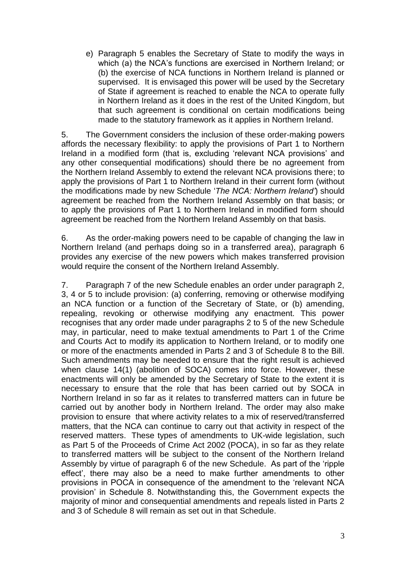e) Paragraph 5 enables the Secretary of State to modify the ways in which (a) the NCA's functions are exercised in Northern Ireland; or (b) the exercise of NCA functions in Northern Ireland is planned or supervised. It is envisaged this power will be used by the Secretary of State if agreement is reached to enable the NCA to operate fully in Northern Ireland as it does in the rest of the United Kingdom, but that such agreement is conditional on certain modifications being made to the statutory framework as it applies in Northern Ireland.

5. The Government considers the inclusion of these order-making powers affords the necessary flexibility: to apply the provisions of Part 1 to Northern Ireland in a modified form (that is, excluding "relevant NCA provisions" and any other consequential modifications) should there be no agreement from the Northern Ireland Assembly to extend the relevant NCA provisions there; to apply the provisions of Part 1 to Northern Ireland in their current form (without the modifications made by new Schedule "*The NCA: Northern Ireland'*) should agreement be reached from the Northern Ireland Assembly on that basis; or to apply the provisions of Part 1 to Northern Ireland in modified form should agreement be reached from the Northern Ireland Assembly on that basis.

6. As the order-making powers need to be capable of changing the law in Northern Ireland (and perhaps doing so in a transferred area), paragraph 6 provides any exercise of the new powers which makes transferred provision would require the consent of the Northern Ireland Assembly.

7. Paragraph 7 of the new Schedule enables an order under paragraph 2, 3, 4 or 5 to include provision: (a) conferring, removing or otherwise modifying an NCA function or a function of the Secretary of State, or (b) amending, repealing, revoking or otherwise modifying any enactment. This power recognises that any order made under paragraphs 2 to 5 of the new Schedule may, in particular, need to make textual amendments to Part 1 of the Crime and Courts Act to modify its application to Northern Ireland, or to modify one or more of the enactments amended in Parts 2 and 3 of Schedule 8 to the Bill. Such amendments may be needed to ensure that the right result is achieved when clause 14(1) (abolition of SOCA) comes into force. However, these enactments will only be amended by the Secretary of State to the extent it is necessary to ensure that the role that has been carried out by SOCA in Northern Ireland in so far as it relates to transferred matters can in future be carried out by another body in Northern Ireland. The order may also make provision to ensure that where activity relates to a mix of reserved/transferred matters, that the NCA can continue to carry out that activity in respect of the reserved matters. These types of amendments to UK-wide legislation, such as Part 5 of the Proceeds of Crime Act 2002 (POCA), in so far as they relate to transferred matters will be subject to the consent of the Northern Ireland Assembly by virtue of paragraph 6 of the new Schedule. As part of the "ripple effect", there may also be a need to make further amendments to other provisions in POCA in consequence of the amendment to the "relevant NCA provision" in Schedule 8. Notwithstanding this, the Government expects the majority of minor and consequential amendments and repeals listed in Parts 2 and 3 of Schedule 8 will remain as set out in that Schedule.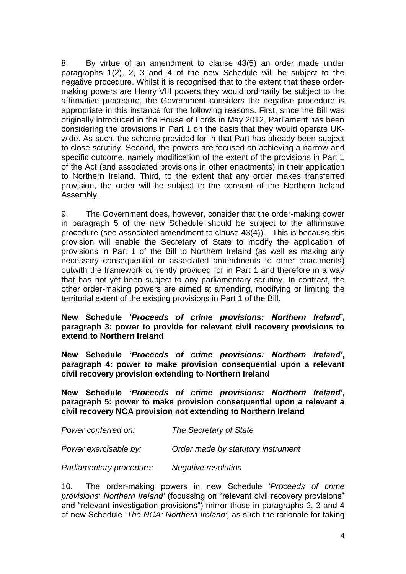8. By virtue of an amendment to clause 43(5) an order made under paragraphs 1(2), 2, 3 and 4 of the new Schedule will be subject to the negative procedure. Whilst it is recognised that to the extent that these ordermaking powers are Henry VIII powers they would ordinarily be subject to the affirmative procedure, the Government considers the negative procedure is appropriate in this instance for the following reasons. First, since the Bill was originally introduced in the House of Lords in May 2012, Parliament has been considering the provisions in Part 1 on the basis that they would operate UKwide. As such, the scheme provided for in that Part has already been subject to close scrutiny. Second, the powers are focused on achieving a narrow and specific outcome, namely modification of the extent of the provisions in Part 1 of the Act (and associated provisions in other enactments) in their application to Northern Ireland. Third, to the extent that any order makes transferred provision, the order will be subject to the consent of the Northern Ireland Assembly.

9. The Government does, however, consider that the order-making power in paragraph 5 of the new Schedule should be subject to the affirmative procedure (see associated amendment to clause 43(4)). This is because this provision will enable the Secretary of State to modify the application of provisions in Part 1 of the Bill to Northern Ireland (as well as making any necessary consequential or associated amendments to other enactments) outwith the framework currently provided for in Part 1 and therefore in a way that has not yet been subject to any parliamentary scrutiny. In contrast, the other order-making powers are aimed at amending, modifying or limiting the territorial extent of the existing provisions in Part 1 of the Bill.

## **New Schedule '***Proceeds of crime provisions: Northern Ireland'***, paragraph 3: power to provide for relevant civil recovery provisions to extend to Northern Ireland**

**New Schedule '***Proceeds of crime provisions: Northern Ireland'***, paragraph 4: power to make provision consequential upon a relevant civil recovery provision extending to Northern Ireland**

**New Schedule '***Proceeds of crime provisions: Northern Ireland'***, paragraph 5: power to make provision consequential upon a relevant a civil recovery NCA provision not extending to Northern Ireland**

| Power conferred on:      | The Secretary of State             |
|--------------------------|------------------------------------|
| Power exercisable by:    | Order made by statutory instrument |
| Parliamentary procedure: | Negative resolution                |

10. The order-making powers in new Schedule "*Proceeds of crime provisions: Northern Ireland'* (focussing on "relevant civil recovery provisions" and "relevant investigation provisions") mirror those in paragraphs 2, 3 and 4 of new Schedule "*The NCA: Northern Ireland',* as such the rationale for taking